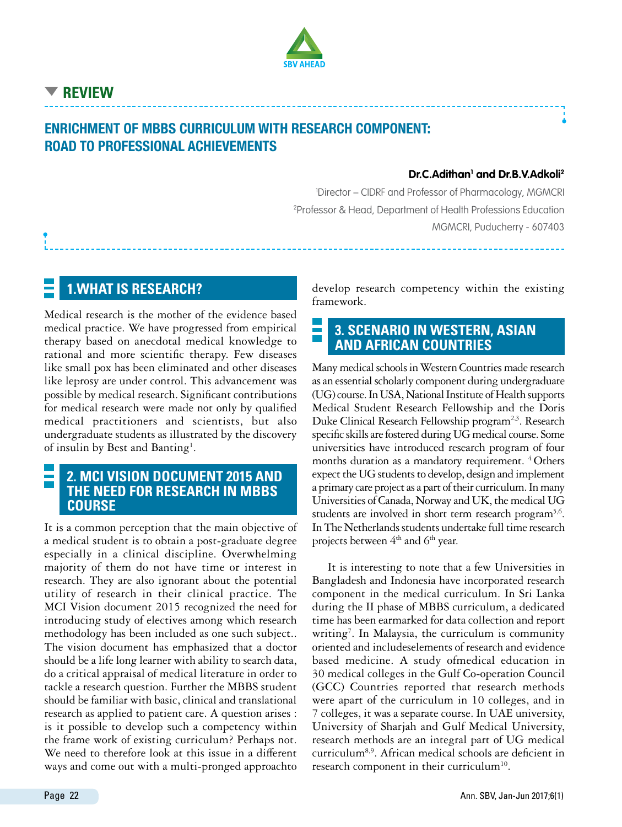

# **Review**

# Enrichment of MBBS curriculum with research component: Road to Professional Achievements

#### **Dr.C.Adithan1 and Dr.B.V.Adkoli2**

1 Director – CIDRF and Professor of Pharmacology, MGMCRI 2 Professor & Head, Department of Health Professions Education MGMCRI, Puducherry - 607403

### **1.What is research?**

Medical research is the mother of the evidence based medical practice. We have progressed from empirical therapy based on anecdotal medical knowledge to rational and more scientific therapy. Few diseases like small pox has been eliminated and other diseases like leprosy are under control. This advancement was possible by medical research. Significant contributions for medical research were made not only by qualified medical practitioners and scientists, but also undergraduate students as illustrated by the discovery of insulin by Best and Banting<sup>1</sup>.

#### **2. MCI vision document 2015 and the need for research in MBBS course**

It is a common perception that the main objective of a medical student is to obtain a post-graduate degree especially in a clinical discipline. Overwhelming majority of them do not have time or interest in research. They are also ignorant about the potential utility of research in their clinical practice. The MCI Vision document 2015 recognized the need for introducing study of electives among which research methodology has been included as one such subject.. The vision document has emphasized that a doctor should be a life long learner with ability to search data, do a critical appraisal of medical literature in order to tackle a research question. Further the MBBS student should be familiar with basic, clinical and translational research as applied to patient care. A question arises : is it possible to develop such a competency within the frame work of existing curriculum? Perhaps not. We need to therefore look at this issue in a different ways and come out with a multi-pronged approachto

develop research competency within the existing framework.

#### E **3. Scenario in Western, Asian and African countries**

Many medical schools in Western Countries made research as an essential scholarly component during undergraduate (UG) course. In USA, National Institute of Health supports Medical Student Research Fellowship and the Doris Duke Clinical Research Fellowship program<sup>2,3</sup>. Research specific skills are fostered during UG medical course. Some universities have introduced research program of four months duration as a mandatory requirement. <sup>4</sup> Others expect the UG students to develop, design and implement a primary care project as a part of their curriculum. In many Universities of Canada, Norway and UK, the medical UG students are involved in short term research program<sup>5,6</sup>. In The Netherlands students undertake full time research projects between 4<sup>th</sup> and 6<sup>th</sup> year.

It is interesting to note that a few Universities in Bangladesh and Indonesia have incorporated research component in the medical curriculum. In Sri Lanka during the II phase of MBBS curriculum, a dedicated time has been earmarked for data collection and report writing<sup>7</sup>. In Malaysia, the curriculum is community oriented and includeselements of research and evidence based medicine. A study ofmedical education in 30 medical colleges in the Gulf Co-operation Council (GCC) Countries reported that research methods were apart of the curriculum in 10 colleges, and in 7 colleges, it was a separate course. In UAE university, University of Sharjah and Gulf Medical University, research methods are an integral part of UG medical curriculum8,9. African medical schools are deficient in research component in their curriculum<sup>10</sup>.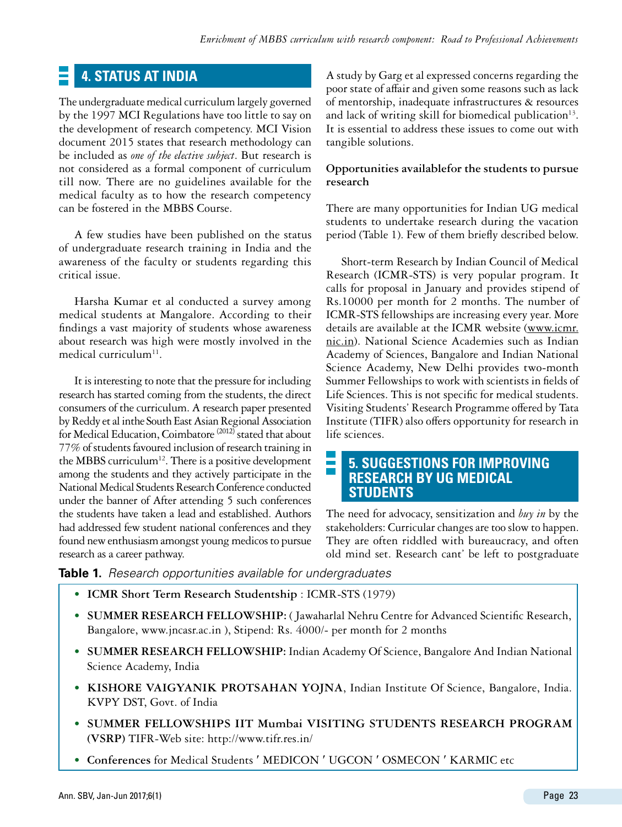# **4. Status at India**

The undergraduate medical curriculum largely governed by the 1997 MCI Regulations have too little to say on the development of research competency. MCI Vision document 2015 states that research methodology can be included as *one of the elective subject*. But research is not considered as a formal component of curriculum till now. There are no guidelines available for the medical faculty as to how the research competency can be fostered in the MBBS Course.

A few studies have been published on the status of undergraduate research training in India and the awareness of the faculty or students regarding this critical issue.

Harsha Kumar et al conducted a survey among medical students at Mangalore. According to their findings a vast majority of students whose awareness about research was high were mostly involved in the medical curriculum $11$ .

It is interesting to note that the pressure for including research has started coming from the students, the direct consumers of the curriculum. A research paper presented by Reddy et al inthe South East Asian Regional Association for Medical Education, Coimbatore (2012) stated that about 77% of students favoured inclusion of research training in the MBBS curriculum<sup>12</sup>. There is a positive development among the students and they actively participate in the National Medical Students Research Conference conducted under the banner of After attending 5 such conferences the students have taken a lead and established. Authors had addressed few student national conferences and they found new enthusiasm amongst young medicos to pursue research as a career pathway.

A study by Garg et al expressed concerns regarding the poor state of affair and given some reasons such as lack of mentorship, inadequate infrastructures & resources and lack of writing skill for biomedical publication<sup>13</sup>. It is essential to address these issues to come out with tangible solutions.

#### **Opportunities availablefor the students to pursue research**

There are many opportunities for Indian UG medical students to undertake research during the vacation period (Table 1). Few of them briefly described below.

Short-term Research by Indian Council of Medical Research (ICMR-STS) is very popular program. It calls for proposal in January and provides stipend of Rs.10000 per month for 2 months. The number of ICMR-STS fellowships are increasing every year. More details are available at the ICMR website ([www.icmr.](http://www.icmr.nic.in) [nic.in\)](http://www.icmr.nic.in). National Science Academies such as Indian Academy of Sciences, Bangalore and Indian National Science Academy, New Delhi provides two-month Summer Fellowships to work with scientists in fields of Life Sciences. This is not specific for medical students. Visiting Students' Research Programme offered by Tata Institute (TIFR) also offers opportunity for research in life sciences.

#### **5. Suggestions for improving research by UG medical students**

The need for advocacy, sensitization and *buy in* by the stakeholders: Curricular changes are too slow to happen. They are often riddled with bureaucracy, and often old mind set. Research cant' be left to postgraduate

**Table 1.** *Research opportunities available for undergraduates*

- **• ICMR Short Term Research Studentship** : ICMR-STS (1979)
- **• SUMMER RESEARCH FELLOWSHIP:** ( Jawaharlal Nehru Centre for Advanced Scientific Research, Bangalore, www.jncasr.ac.in ), Stipend: Rs. 4000/- per month for 2 months
- **• SUMMER RESEARCH FELLOWSHIP:** Indian Academy Of Science, Bangalore And Indian National Science Academy, India
- **• KISHORE VAIGYANIK PROTSAHAN YOJNA**, Indian Institute Of Science, Bangalore, India. KVPY DST, Govt. of India
- **• SUMMER FELLOWSHIPS IIT Mumbai VISITING STUDENTS RESEARCH PROGRAM (VSRP)** TIFR-Web site: <http://www.tifr.res.in/>
- **• Conferences** for Medical Students ′ MEDICON ′ UGCON ′ OSMECON ′ KARMIC etc